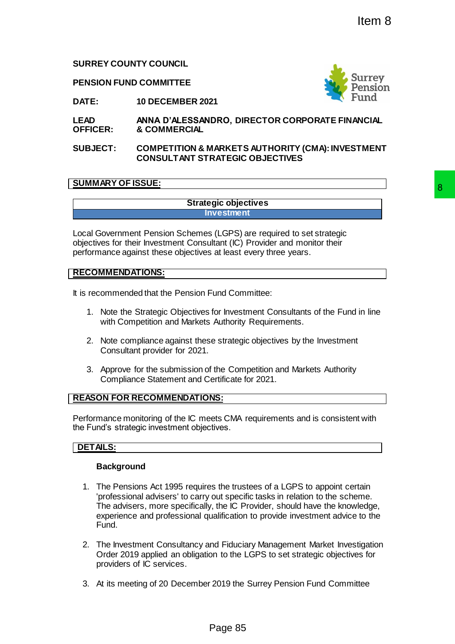**SURREY COUNTY COUNCIL**

**PENSION FUND COMMITTEE**



**DATE: 10 DECEMBER 2021**

**LEAD OFFICER: ANNA D'ALESSANDRO, DIRECTOR CORPORATE FINANCIAL & COMMERCIAL**

**SUBJECT: COMPETITION & MARKETS AUTHORITY (CMA): INVESTMENT CONSULTANT STRATEGIC OBJECTIVES**

# **SUMMARY OF ISSUE:**

**Strategic objectives Investment**

Local Government Pension Schemes (LGPS) are required to set strategic objectives for their Investment Consultant (IC) Provider and monitor their performance against these objectives at least every three years.

## **RECOMMENDATIONS:**

It is recommended that the Pension Fund Committee:

- 1. Note the Strategic Objectives for Investment Consultants of the Fund in line with Competition and Markets Authority Requirements.
- 2. Note compliance against these strategic objectives by the Investment Consultant provider for 2021.
- 3. Approve for the submission of the Competition and Markets Authority Compliance Statement and Certificate for 2021.

## **REASON FOR RECOMMENDATIONS:**

Performance monitoring of the IC meets CMA requirements and is consistent with the Fund's strategic investment objectives.

## **DETAILS:**

## **Background**

- 1. The Pensions Act 1995 requires the trustees of a LGPS to appoint certain 'professional advisers' to carry out specific tasks in relation to the scheme. The advisers, more specifically, the IC Provider, should have the knowledge, experience and professional qualification to provide investment advice to the Fund. Page 85 8
- 2. The Investment Consultancy and Fiduciary Management Market Investigation Order 2019 applied an obligation to the LGPS to set strategic objectives for providers of IC services.
- 3. At its meeting of 20 December 2019 the Surrey Pension Fund Committee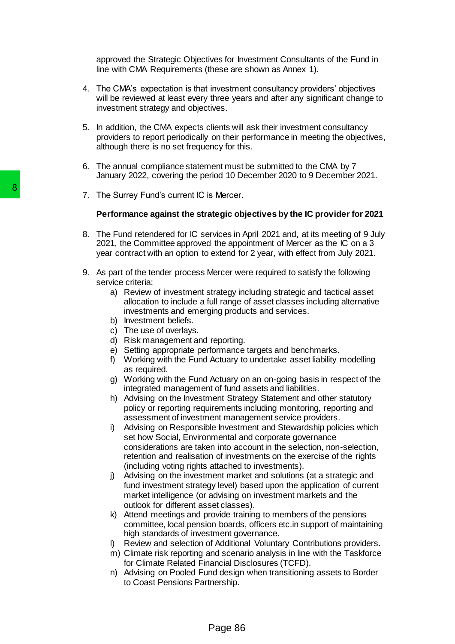approved the Strategic Objectives for Investment Consultants of the Fund in line with CMA Requirements (these are shown as Annex 1).

- 4. The CMA's expectation is that investment consultancy providers' objectives will be reviewed at least every three years and after any significant change to investment strategy and objectives.
- 5. In addition, the CMA expects clients will ask their investment consultancy providers to report periodically on their performance in meeting the objectives, although there is no set frequency for this.
- 6. The annual compliance statement must be submitted to the CMA by 7 January 2022, covering the period 10 December 2020 to 9 December 2021.
- 7. The Surrey Fund's current IC is Mercer.

#### **Performance against the strategic objectives by the IC provider for 2021**

- 8. The Fund retendered for IC services in April 2021 and, at its meeting of 9 July 2021, the Committee approved the appointment of Mercer as the IC on a 3 year contract with an option to extend for 2 year, with effect from July 2021.
- 9. As part of the tender process Mercer were required to satisfy the following service criteria:
	- a) Review of investment strategy including strategic and tactical asset allocation to include a full range of asset classes including alternative investments and emerging products and services.
	- b) Investment beliefs.
	- c) The use of overlays.
	- d) Risk management and reporting.
	- e) Setting appropriate performance targets and benchmarks.
	- f) Working with the Fund Actuary to undertake asset liability modelling as required.
	- g) Working with the Fund Actuary on an on-going basis in respect of the integrated management of fund assets and liabilities.
	- h) Advising on the Investment Strategy Statement and other statutory policy or reporting requirements including monitoring, reporting and assessment of investment management service providers.
- i) Advising on Responsible Investment and Stewardship policies which set how Social, Environmental and corporate governance considerations are taken into account in the selection, non-selection, retention and realisation of investments on the exercise of the rights (including voting rights attached to investments). 7. The Surrey Fund's current IC is Mercer.<br> **Performance against the strategic ob**<br>
8. The Fund retendered for IC services in A 2021, the Committee approved the approved the approximation of the tender process Mercer we se
	- j) Advising on the investment market and solutions (at a strategic and fund investment strategy level) based upon the application of current market intelligence (or advising on investment markets and the outlook for different asset classes).
	- k) Attend meetings and provide training to members of the pensions committee, local pension boards, officers etc.in support of maintaining high standards of investment governance.
	- l) Review and selection of Additional Voluntary Contributions providers.
	- m) Climate risk reporting and scenario analysis in line with the Taskforce for Climate Related Financial Disclosures (TCFD).
	- n) Advising on Pooled Fund design when transitioning assets to Border to Coast Pensions Partnership.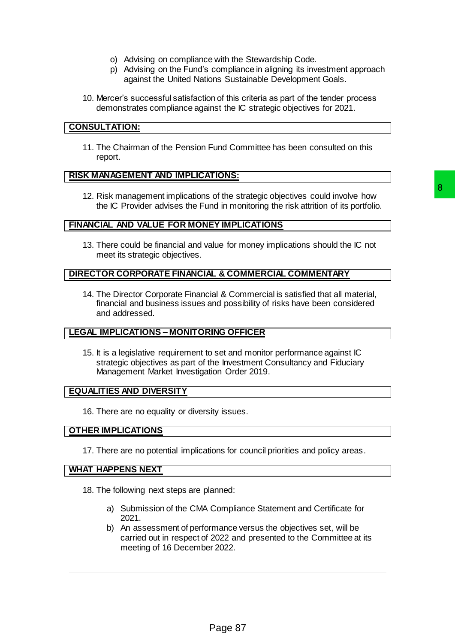- o) Advising on compliance with the Stewardship Code.
- p) Advising on the Fund's compliance in aligning its investment approach against the United Nations Sustainable Development Goals.
- 10. Mercer's successful satisfaction of this criteria as part of the tender process demonstrates compliance against the IC strategic objectives for 2021.

## **CONSULTATION:**

11. The Chairman of the Pension Fund Committee has been consulted on this report.

#### **RISK MANAGEMENT AND IMPLICATIONS:**

12. Risk management implications of the strategic objectives could involve how the IC Provider advises the Fund in monitoring the risk attrition of its portfolio.

#### **FINANCIAL AND VALUE FOR MONEY IMPLICATIONS**

13. There could be financial and value for money implications should the IC not meet its strategic objectives.

### **DIRECTOR CORPORATE FINANCIAL & COMMERCIAL COMMENTARY**

14. The Director Corporate Financial & Commercial is satisfied that all material, financial and business issues and possibility of risks have been considered and addressed. of the strategic objectives could involve how<br>
nd in monitoring the risk attrition of its portfolio.<br>
EV IMPLICATIONS<br>
ELVE OCOMMERCIAL COMMENTARY<br>
LA COMMERCIAL COMMENTARY<br>
LA COMMERCIAL COMMENTARY<br>
LA COMMERCIAL COMMENTA

## **LEGAL IMPLICATIONS – MONITORING OFFICER**

15. It is a legislative requirement to set and monitor performance against IC strategic objectives as part of the Investment Consultancy and Fiduciary Management Market Investigation Order 2019.

#### **EQUALITIES AND DIVERSITY**

16. There are no equality or diversity issues.

#### **OTHER IMPLICATIONS**

17. There are no potential implications for council priorities and policy areas.

#### **WHAT HAPPENS NEXT**

- 18. The following next steps are planned:
	- a) Submission of the CMA Compliance Statement and Certificate for 2021.
	- b) An assessment of performance versus the objectives set, will be carried out in respect of 2022 and presented to the Committee at its meeting of 16 December 2022.